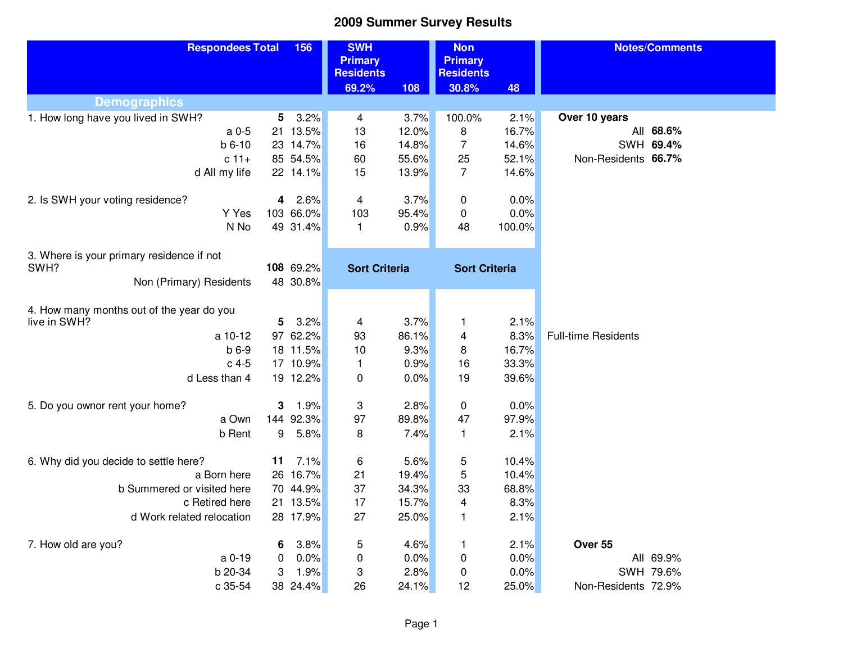| <b>Primary</b><br><b>Primary</b><br><b>Residents</b><br><b>Residents</b>                        |  |
|-------------------------------------------------------------------------------------------------|--|
| 69.2%<br>$\boxed{108}$<br>30.8%<br>48                                                           |  |
| <b>Demographics</b>                                                                             |  |
| 1. How long have you lived in SWH?<br>3.2%<br>3.7%<br>100.0%<br>2.1%<br>Over 10 years<br>5<br>4 |  |
| 16.7%<br>21 13.5%<br>12.0%<br>8<br>All 68.6%<br>a 0-5<br>13                                     |  |
| $b 6-10$<br>23 14.7%<br>16<br>14.8%<br>7<br>14.6%<br>SWH 69.4%                                  |  |
| $c 11+$<br>85 54.5%<br>60<br>55.6%<br>25<br>52.1%<br>Non-Residents 66.7%                        |  |
| 15<br>7<br>14.6%<br>d All my life<br>22 14.1%<br>13.9%                                          |  |
| 3.7%<br>0.0%<br>2. Is SWH your voting residence?<br>2.6%<br>$\overline{4}$<br>0<br>4            |  |
| Y Yes<br>103 66.0%<br>95.4%<br>0.0%<br>103<br>0                                                 |  |
| N No<br>49 31.4%<br>100.0%<br>0.9%<br>48<br>$\mathbf{1}$                                        |  |
|                                                                                                 |  |
| 3. Where is your primary residence if not                                                       |  |
| 108 69.2%<br>SWH?<br><b>Sort Criteria</b><br><b>Sort Criteria</b>                               |  |
| Non (Primary) Residents<br>48 30.8%                                                             |  |
|                                                                                                 |  |
| 4. How many months out of the year do you                                                       |  |
| 3.7%<br>2.1%<br>live in SWH?<br>5<br>3.2%<br>4<br>1                                             |  |
| 97 62.2%<br>93<br>86.1%<br>8.3%<br><b>Full-time Residents</b><br>a 10-12<br>4                   |  |
| $b6-9$<br>18 11.5%<br>10<br>9.3%<br>16.7%<br>8<br>$c$ 4-5                                       |  |
| 17 10.9%<br>0.9%<br>33.3%<br>$\mathbf{1}$<br>16                                                 |  |
| d Less than 4<br>19 12.2%<br>0<br>0.0%<br>19<br>39.6%                                           |  |
| 2.8%<br>0.0%<br>5. Do you ownor rent your home?<br>3<br>1.9%<br>3<br>0                          |  |
| 97<br>97.9%<br>a Own<br>144 92.3%<br>89.8%<br>47                                                |  |
| b Rent<br>9<br>5.8%<br>7.4%<br>2.1%<br>8<br>1                                                   |  |
|                                                                                                 |  |
| 7.1%<br>6<br>5.6%<br>5<br>6. Why did you decide to settle here?<br>11<br>10.4%                  |  |
| 5<br>16.7%<br>a Born here<br>26<br>21<br>19.4%<br>10.4%                                         |  |
| 70 44.9%<br>37<br>68.8%<br>b Summered or visited here<br>34.3%<br>33                            |  |
| 17<br>15.7%<br>8.3%<br>c Retired here<br>21 13.5%<br>4                                          |  |
| 27<br>d Work related relocation<br>28 17.9%<br>25.0%<br>2.1%<br>1                               |  |
| 7. How old are you?<br>3.8%<br>4.6%<br>2.1%<br>Over 55<br>6<br>5<br>1                           |  |
| a 0-19<br>0.0%<br>0.0%<br>0.0%<br>All 69.9%<br>0<br>0<br>0                                      |  |
| b 20-34<br>3<br>2.8%<br>0.0%<br>SWH 79.6%<br>3<br>1.9%<br>0                                     |  |
| 26<br>25.0%<br>c 35-54<br>38 24.4%<br>24.1%<br>12<br>Non-Residents 72.9%                        |  |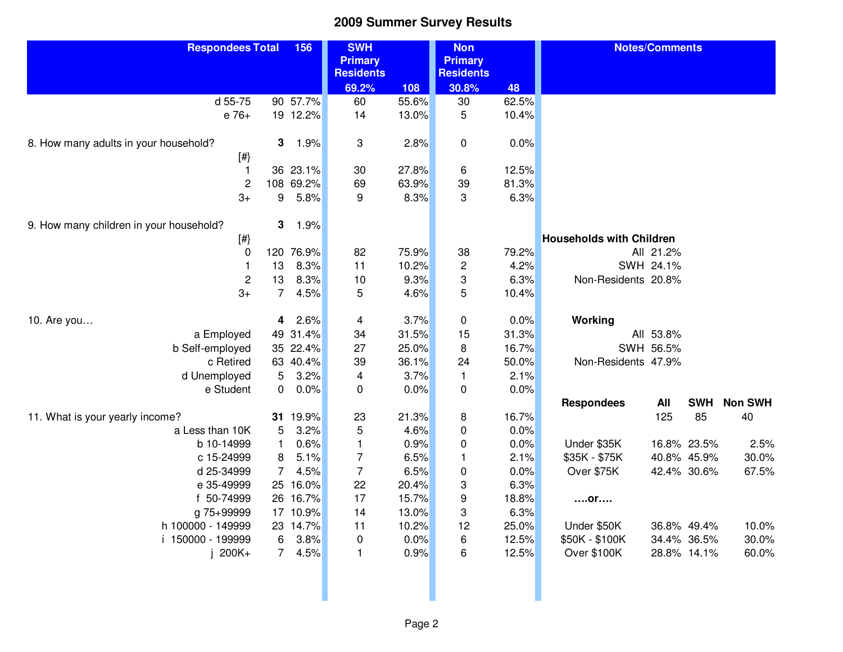| <b>Respondees Total</b>                      | 156                         | <b>SWH</b><br><b>Primary</b><br><b>Residents</b> |       | <b>Non</b><br><b>Primary</b><br><b>Residents</b> |                |                                      | <b>Notes/Comments</b> |                            |                      |
|----------------------------------------------|-----------------------------|--------------------------------------------------|-------|--------------------------------------------------|----------------|--------------------------------------|-----------------------|----------------------------|----------------------|
|                                              |                             | 69.2%                                            | 108   | 30.8%                                            | 48             |                                      |                       |                            |                      |
| d 55-75                                      | 90 57.7%                    | 60                                               | 55.6% | 30                                               | 62.5%          |                                      |                       |                            |                      |
| e 76+                                        | 19 12.2%                    | 14                                               | 13.0% | 5                                                | 10.4%          |                                      |                       |                            |                      |
| 8. How many adults in your household?<br>[#} | 3<br>1.9%                   | 3                                                | 2.8%  | $\mathbf 0$                                      | 0.0%           |                                      |                       |                            |                      |
| $\mathbf{1}$                                 | 36 23.1%                    | 30                                               | 27.8% | 6                                                | 12.5%          |                                      |                       |                            |                      |
| $\mathbf 2$                                  | 108 69.2%                   | 69                                               | 63.9% | 39                                               | 81.3%          |                                      |                       |                            |                      |
| $3+$                                         | 5.8%<br>9                   | 9                                                | 8.3%  | 3                                                | 6.3%           |                                      |                       |                            |                      |
| 9. How many children in your household?      | 3<br>1.9%                   |                                                  |       |                                                  |                |                                      |                       |                            |                      |
| [#}                                          |                             |                                                  |       |                                                  |                | <b>Households with Children</b>      |                       |                            |                      |
| 0                                            | 120 76.9%                   | 82                                               | 75.9% | 38                                               | 79.2%          |                                      | All 21.2%             |                            |                      |
| $\mathbf{1}$                                 | 13<br>8.3%                  | 11                                               | 10.2% | $\overline{c}$                                   | 4.2%           |                                      | SWH 24.1%             |                            |                      |
| $\sqrt{2}$                                   | 8.3%<br>13                  | 10                                               | 9.3%  | 3                                                | 6.3%           | Non-Residents 20.8%                  |                       |                            |                      |
| $3+$                                         | 7 <sup>7</sup><br>4.5%      | 5                                                | 4.6%  | 5                                                | 10.4%          |                                      |                       |                            |                      |
| 10. Are you                                  | 2.6%<br>4                   | 4                                                | 3.7%  | 0                                                | 0.0%           | Working                              |                       |                            |                      |
| a Employed                                   | 49 31.4%                    | 34                                               | 31.5% | 15                                               | 31.3%          |                                      | All 53.8%             |                            |                      |
| b Self-employed                              | 35 22.4%                    | 27                                               | 25.0% | 8                                                | 16.7%          |                                      | SWH 56.5%             |                            |                      |
| c Retired                                    | 63 40.4%                    | 39                                               | 36.1% | 24                                               | 50.0%          | Non-Residents 47.9%                  |                       |                            |                      |
| d Unemployed                                 | 3.2%<br>5                   | 4                                                | 3.7%  | $\mathbf{1}$                                     | 2.1%           |                                      |                       |                            |                      |
| e Student                                    | 0.0%<br>0                   | 0                                                | 0.0%  | $\pmb{0}$                                        | 0.0%           |                                      |                       |                            |                      |
| 11. What is your yearly income?              | 31 19.9%                    |                                                  | 21.3% |                                                  | 16.7%          | <b>Respondees</b>                    | All<br>125            | <b>SWH</b><br>85           | <b>Non SWH</b><br>40 |
| a Less than 10K                              | 3.2%                        | 23                                               | 4.6%  | 8                                                | 0.0%           |                                      |                       |                            |                      |
| b 10-14999                                   | 5<br>0.6%<br>$\mathbf{1}$   | 5<br>$\mathbf{1}$                                | 0.9%  | $\pmb{0}$<br>$\pmb{0}$                           | 0.0%           | Under \$35K                          |                       | 16.8% 23.5%                | 2.5%                 |
| c 15-24999                                   | 5.1%<br>8                   | $\overline{7}$                                   | 6.5%  | $\mathbf{1}$                                     | 2.1%           | \$35K - \$75K                        |                       | 40.8% 45.9%                | 30.0%                |
| d 25-34999                                   | $\overline{7}$<br>4.5%      | $\overline{7}$                                   | 6.5%  |                                                  | 0.0%           | Over \$75K                           |                       | 42.4% 30.6%                | 67.5%                |
| e 35-49999                                   | 25 16.0%                    | 22                                               | 20.4% | $\boldsymbol{0}$<br>3                            | 6.3%           |                                      |                       |                            |                      |
| f 50-74999                                   | 26 16.7%                    | 17                                               | 15.7% | 9                                                | 18.8%          |                                      |                       |                            |                      |
| g 75+99999                                   | 17 10.9%                    | 14                                               | 13.0% | 3                                                | 6.3%           | $$ or                                |                       |                            |                      |
| h 100000 - 149999                            | 23 14.7%                    | 11                                               | 10.2% | 12                                               |                | Under \$50K                          |                       | 36.8% 49.4%                |                      |
| i 150000 - 199999                            | 3.8%                        |                                                  | 0.0%  |                                                  | 25.0%<br>12.5% |                                      |                       |                            | 10.0%<br>30.0%       |
| 200K+                                        | 6<br>$\overline{7}$<br>4.5% | $\pmb{0}$<br>$\mathbf{1}$                        | 0.9%  | 6<br>6                                           | 12.5%          | \$50K - \$100K<br><b>Over \$100K</b> |                       | 34.4% 36.5%<br>28.8% 14.1% | 60.0%                |
|                                              |                             |                                                  |       |                                                  |                |                                      |                       |                            |                      |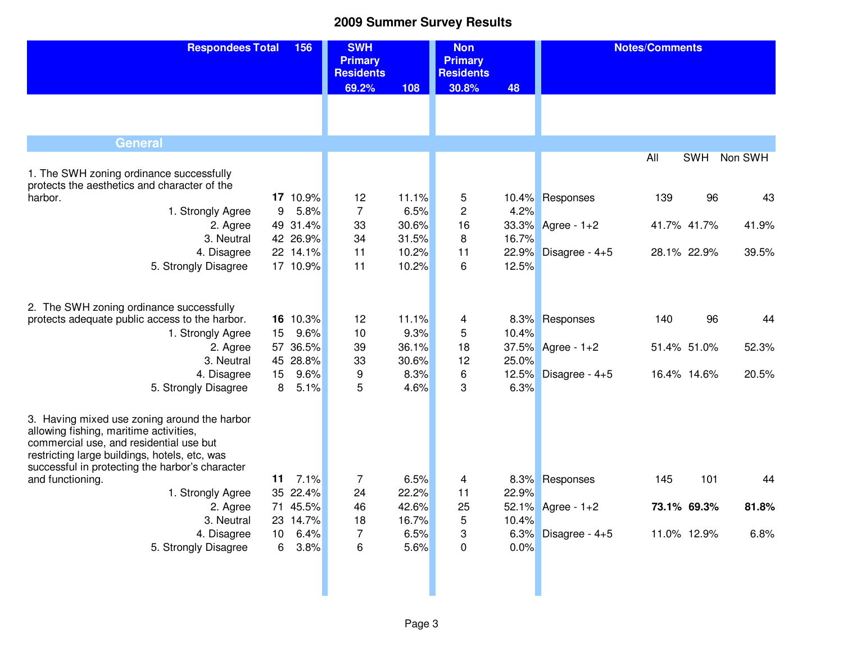| <b>Respondees Total</b>                                                                                                                                                                                                               | 156                  | <b>SWH</b><br><b>Primary</b><br><b>Residents</b> |               | <b>Non</b><br><b>Primary</b><br><b>Residents</b> |       | <b>Notes/Comments</b> |             |            |         |
|---------------------------------------------------------------------------------------------------------------------------------------------------------------------------------------------------------------------------------------|----------------------|--------------------------------------------------|---------------|--------------------------------------------------|-------|-----------------------|-------------|------------|---------|
|                                                                                                                                                                                                                                       |                      | 69.2%                                            | 108           | 30.8%                                            | 48    |                       |             |            |         |
|                                                                                                                                                                                                                                       |                      |                                                  |               |                                                  |       |                       |             |            |         |
| <b>General</b>                                                                                                                                                                                                                        |                      |                                                  |               |                                                  |       |                       |             |            |         |
|                                                                                                                                                                                                                                       |                      |                                                  |               |                                                  |       |                       | All         | <b>SWH</b> | Non SWH |
| 1. The SWH zoning ordinance successfully                                                                                                                                                                                              |                      |                                                  |               |                                                  |       |                       |             |            |         |
| protects the aesthetics and character of the                                                                                                                                                                                          |                      |                                                  |               |                                                  |       |                       |             | 96         |         |
| harbor.                                                                                                                                                                                                                               | 17 10.9%<br>5.8%     | 12<br>$\overline{7}$                             | 11.1%<br>6.5% | 5<br>2                                           | 4.2%  | 10.4% Responses       | 139         |            | 43      |
| 1. Strongly Agree                                                                                                                                                                                                                     | 9                    |                                                  | 30.6%         | 16                                               |       |                       |             |            |         |
| 2. Agree<br>3. Neutral                                                                                                                                                                                                                | 49 31.4%<br>42 26.9% | 33<br>34                                         | 31.5%         | 8                                                | 16.7% | 33.3% Agree - 1+2     | 41.7% 41.7% |            | 41.9%   |
| 4. Disagree                                                                                                                                                                                                                           | 22 14.1%             | 11                                               | 10.2%         | 11                                               |       | 22.9% Disagree - 4+5  | 28.1% 22.9% |            | 39.5%   |
| 5. Strongly Disagree                                                                                                                                                                                                                  | 17 10.9%             | 11                                               | 10.2%         | 6                                                | 12.5% |                       |             |            |         |
|                                                                                                                                                                                                                                       |                      |                                                  |               |                                                  |       |                       |             |            |         |
| 2. The SWH zoning ordinance successfully                                                                                                                                                                                              |                      |                                                  |               |                                                  |       |                       |             |            |         |
| protects adequate public access to the harbor.                                                                                                                                                                                        | 16 10.3%             | 12                                               | 11.1%         | 4                                                |       | 8.3% Responses        | 140         | 96         | 44      |
| 1. Strongly Agree                                                                                                                                                                                                                     | 9.6%<br>15           | 10                                               | 9.3%          | 5                                                | 10.4% |                       |             |            |         |
| 2. Agree                                                                                                                                                                                                                              | 57 36.5%             | 39                                               | 36.1%         | 18                                               |       | $37.5\%$ Agree - 1+2  | 51.4% 51.0% |            | 52.3%   |
| 3. Neutral                                                                                                                                                                                                                            | 45 28.8%             | 33                                               | 30.6%         | 12                                               | 25.0% |                       |             |            |         |
| 4. Disagree                                                                                                                                                                                                                           | 9.6%<br>15           | 9                                                | 8.3%          | 6                                                |       | 12.5% Disagree - 4+5  | 16.4% 14.6% |            | 20.5%   |
| 5. Strongly Disagree                                                                                                                                                                                                                  | 5.1%<br>8            | 5                                                | 4.6%          | 3                                                | 6.3%  |                       |             |            |         |
| 3. Having mixed use zoning around the harbor<br>allowing fishing, maritime activities,<br>commercial use, and residential use but<br>restricting large buildings, hotels, etc, was<br>successful in protecting the harbor's character |                      |                                                  |               |                                                  |       |                       |             |            |         |
| and functioning.                                                                                                                                                                                                                      | 7.1%<br>11           | $\overline{7}$                                   | 6.5%          | 4                                                |       | 8.3% Responses        | 145         | 101        | 44      |
| 1. Strongly Agree                                                                                                                                                                                                                     | 35 22.4%             | 24                                               | 22.2%         | 11                                               | 22.9% |                       |             |            |         |
| 2. Agree                                                                                                                                                                                                                              | 71 45.5%             | 46                                               | 42.6%         | 25                                               |       | 52.1% Agree - 1+2     | 73.1% 69.3% |            | 81.8%   |
| 3. Neutral                                                                                                                                                                                                                            | 23 14.7%             | 18                                               | 16.7%         | 5                                                | 10.4% |                       |             |            |         |
| 4. Disagree                                                                                                                                                                                                                           | 6.4%<br>10           | 7                                                | 6.5%          | 3                                                |       | 6.3% Disagree - $4+5$ | 11.0% 12.9% |            | 6.8%    |
| 5. Strongly Disagree                                                                                                                                                                                                                  | 3.8%<br>6            | 6                                                | 5.6%          | 0                                                | 0.0%  |                       |             |            |         |
|                                                                                                                                                                                                                                       |                      |                                                  |               |                                                  |       |                       |             |            |         |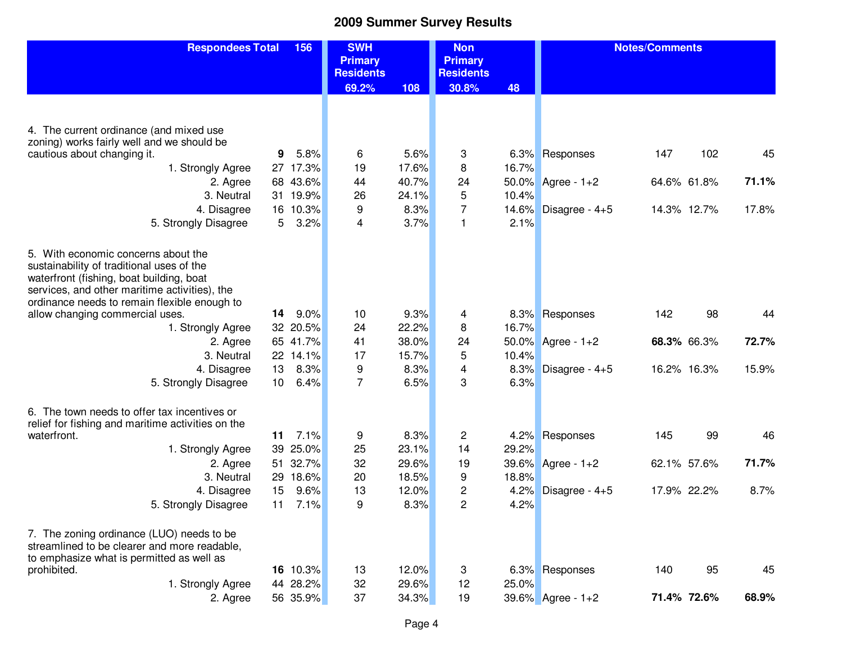| <b>Respondees Total</b>                                                                   | 156             |       | <b>SWH</b><br><b>Primary</b> |       | <b>Non</b><br><b>Primary</b> |       | <b>Notes/Comments</b> |     |             |       |
|-------------------------------------------------------------------------------------------|-----------------|-------|------------------------------|-------|------------------------------|-------|-----------------------|-----|-------------|-------|
|                                                                                           |                 |       | <b>Residents</b>             |       | <b>Residents</b>             |       |                       |     |             |       |
|                                                                                           |                 |       | 69.2%                        | 108   | 30.8%                        | 48    |                       |     |             |       |
|                                                                                           |                 |       |                              |       |                              |       |                       |     |             |       |
|                                                                                           |                 |       |                              |       |                              |       |                       |     |             |       |
| 4. The current ordinance (and mixed use<br>zoning) works fairly well and we should be     |                 |       |                              |       |                              |       |                       |     |             |       |
| cautious about changing it.                                                               | 9               | 5.8%  | 6                            | 5.6%  | 3                            |       | 6.3% Responses        | 147 | 102         | 45    |
| 1. Strongly Agree                                                                         | 27 17.3%        |       | 19                           | 17.6% | 8                            | 16.7% |                       |     |             |       |
| 2. Agree                                                                                  | 68 43.6%        |       | 44                           | 40.7% | 24                           |       | 50.0% Agree - 1+2     |     | 64.6% 61.8% | 71.1% |
| 3. Neutral                                                                                | 31 19.9%        |       | 26                           | 24.1% | 5                            | 10.4% |                       |     |             |       |
| 4. Disagree                                                                               | 16 10.3%        |       | 9                            | 8.3%  | $\overline{7}$               | 14.6% | Disagree - $4+5$      |     | 14.3% 12.7% | 17.8% |
| 5. Strongly Disagree                                                                      | 5               | 3.2%  | 4                            | 3.7%  | $\mathbf{1}$                 | 2.1%  |                       |     |             |       |
|                                                                                           |                 |       |                              |       |                              |       |                       |     |             |       |
| 5. With economic concerns about the                                                       |                 |       |                              |       |                              |       |                       |     |             |       |
| sustainability of traditional uses of the                                                 |                 |       |                              |       |                              |       |                       |     |             |       |
| waterfront (fishing, boat building, boat<br>services, and other maritime activities), the |                 |       |                              |       |                              |       |                       |     |             |       |
| ordinance needs to remain flexible enough to                                              |                 |       |                              |       |                              |       |                       |     |             |       |
| allow changing commercial uses.                                                           | 14              | 9.0%  | 10                           | 9.3%  | 4                            |       | 8.3% Responses        | 142 | 98          | 44    |
| 1. Strongly Agree                                                                         | 32 20.5%        |       | 24                           | 22.2% | 8                            | 16.7% |                       |     |             |       |
| 2. Agree                                                                                  | 65 41.7%        |       | 41                           | 38.0% | 24                           |       | 50.0% Agree - 1+2     |     | 68.3% 66.3% | 72.7% |
| 3. Neutral                                                                                | 22 14.1%        |       | 17                           | 15.7% | 5                            | 10.4% |                       |     |             |       |
| 4. Disagree                                                                               | 13              | 8.3%  | 9                            | 8.3%  | 4                            | 8.3%  | Disagree - $4+5$      |     | 16.2% 16.3% | 15.9% |
| 5. Strongly Disagree                                                                      | 10 <sup>°</sup> | 6.4%  | $\overline{7}$               | 6.5%  | 3                            | 6.3%  |                       |     |             |       |
| 6. The town needs to offer tax incentives or                                              |                 |       |                              |       |                              |       |                       |     |             |       |
| relief for fishing and maritime activities on the                                         |                 |       |                              |       |                              |       |                       |     |             |       |
| waterfront.                                                                               | 11              | 7.1%  | 9                            | 8.3%  | $\overline{c}$               | 4.2%  | Responses             | 145 | 99          | 46    |
| 1. Strongly Agree                                                                         | 39              | 25.0% | 25                           | 23.1% | 14                           | 29.2% |                       |     |             |       |
| 2. Agree                                                                                  | 51              | 32.7% | 32                           | 29.6% | 19                           |       | 39.6% Agree - 1+2     |     | 62.1% 57.6% | 71.7% |
| 3. Neutral                                                                                | 29              | 18.6% | 20                           | 18.5% | 9                            | 18.8% |                       |     |             |       |
| 4. Disagree                                                                               | 15              | 9.6%  | 13                           | 12.0% | 2                            | 4.2%  | Disagree - $4+5$      |     | 17.9% 22.2% | 8.7%  |
| 5. Strongly Disagree                                                                      | 11              | 7.1%  | 9                            | 8.3%  | $\overline{2}$               | 4.2%  |                       |     |             |       |
| 7. The zoning ordinance (LUO) needs to be                                                 |                 |       |                              |       |                              |       |                       |     |             |       |
| streamlined to be clearer and more readable,                                              |                 |       |                              |       |                              |       |                       |     |             |       |
| to emphasize what is permitted as well as                                                 |                 |       |                              |       |                              |       |                       |     |             |       |
| prohibited.                                                                               | 16 10.3%        |       | 13                           | 12.0% | 3                            |       | 6.3% Responses        | 140 | 95          | 45    |
| 1. Strongly Agree                                                                         | 44 28.2%        |       | 32                           | 29.6% | 12                           | 25.0% |                       |     |             |       |
| 2. Agree                                                                                  | 56 35.9%        |       | 37                           | 34.3% | 19                           |       | 39.6% Agree - 1+2     |     | 71.4% 72.6% | 68.9% |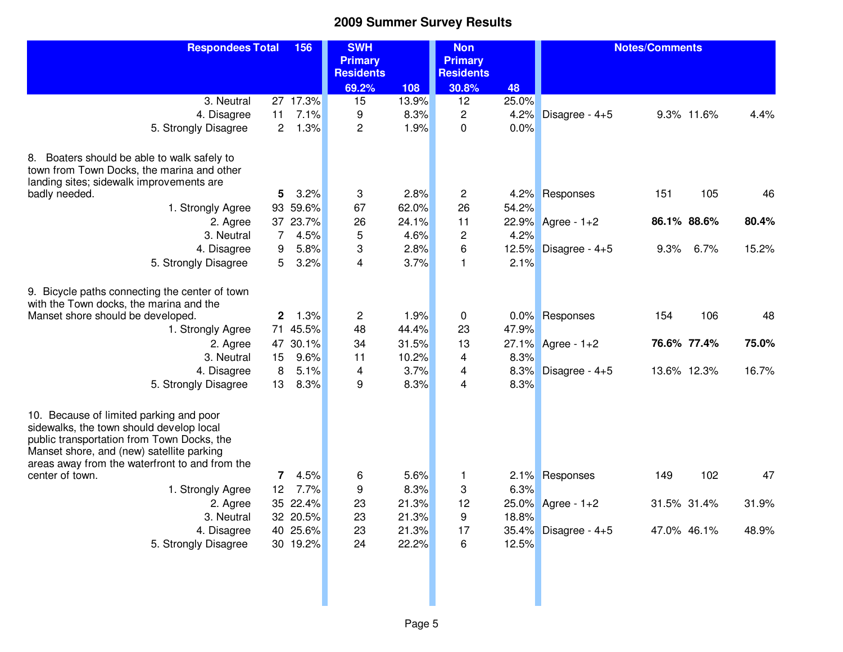| <b>Respondees Total</b>                                                                |              | 156      | <b>SWH</b>                         |       | <b>Non</b>                         |       | <b>Notes/Comments</b> |             |               |
|----------------------------------------------------------------------------------------|--------------|----------|------------------------------------|-------|------------------------------------|-------|-----------------------|-------------|---------------|
|                                                                                        |              |          | <b>Primary</b><br><b>Residents</b> |       | <b>Primary</b><br><b>Residents</b> |       |                       |             |               |
|                                                                                        |              |          | 69.2%                              | 108   | 30.8%                              | 48    |                       |             |               |
| 3. Neutral                                                                             |              | 27 17.3% | 15                                 | 13.9% | 12                                 | 25.0% |                       |             |               |
| 4. Disagree                                                                            | 11           | 7.1%     | 9                                  | 8.3%  | $\overline{c}$                     | 4.2%  | Disagree - $4+5$      | 9.3% 11.6%  | 4.4%          |
| 5. Strongly Disagree                                                                   | $\mathbf{2}$ | 1.3%     | $\overline{c}$                     | 1.9%  | 0                                  | 0.0%  |                       |             |               |
|                                                                                        |              |          |                                    |       |                                    |       |                       |             |               |
| 8. Boaters should be able to walk safely to                                            |              |          |                                    |       |                                    |       |                       |             |               |
| town from Town Docks, the marina and other                                             |              |          |                                    |       |                                    |       |                       |             |               |
| landing sites; sidewalk improvements are                                               |              |          |                                    |       |                                    |       |                       |             |               |
| badly needed.                                                                          | 5            | 3.2%     | 3                                  | 2.8%  | 2                                  |       | 4.2% Responses        | 151         | 105<br>46     |
| 1. Strongly Agree                                                                      |              | 93 59.6% | 67                                 | 62.0% | 26                                 | 54.2% |                       |             |               |
| 2. Agree                                                                               |              | 37 23.7% | 26                                 | 24.1% | 11                                 |       | 22.9% Agree - 1+2     | 86.1% 88.6% | 80.4%         |
| 3. Neutral                                                                             | 7            | 4.5%     | 5                                  | 4.6%  | $\overline{c}$                     | 4.2%  |                       |             |               |
| 4. Disagree                                                                            | 9            | 5.8%     | 3                                  | 2.8%  | 6                                  | 12.5% | Disagree - $4+5$      | 9.3%        | 6.7%<br>15.2% |
| 5. Strongly Disagree                                                                   | 5            | 3.2%     | $\overline{4}$                     | 3.7%  | 1                                  | 2.1%  |                       |             |               |
| 9. Bicycle paths connecting the center of town                                         |              |          |                                    |       |                                    |       |                       |             |               |
| with the Town docks, the marina and the                                                |              |          |                                    |       |                                    |       |                       |             |               |
| Manset shore should be developed.                                                      | 2            | 1.3%     | 2                                  | 1.9%  | 0                                  |       | 0.0% Responses        | 154         | 106<br>48     |
| 1. Strongly Agree                                                                      |              | 71 45.5% | 48                                 | 44.4% | 23                                 | 47.9% |                       |             |               |
| 2. Agree                                                                               |              | 47 30.1% | 34                                 | 31.5% | 13                                 |       | 27.1% Agree - 1+2     | 76.6% 77.4% | 75.0%         |
| 3. Neutral                                                                             | 15           | 9.6%     | 11                                 | 10.2% | 4                                  | 8.3%  |                       |             |               |
| 4. Disagree                                                                            | 8            | 5.1%     | 4                                  | 3.7%  | 4                                  | 8.3%  | Disagree - 4+5        | 13.6% 12.3% | 16.7%         |
| 5. Strongly Disagree                                                                   | 13           | 8.3%     | 9                                  | 8.3%  | 4                                  | 8.3%  |                       |             |               |
|                                                                                        |              |          |                                    |       |                                    |       |                       |             |               |
| 10. Because of limited parking and poor                                                |              |          |                                    |       |                                    |       |                       |             |               |
| sidewalks, the town should develop local<br>public transportation from Town Docks, the |              |          |                                    |       |                                    |       |                       |             |               |
| Manset shore, and (new) satellite parking                                              |              |          |                                    |       |                                    |       |                       |             |               |
| areas away from the waterfront to and from the                                         |              |          |                                    |       |                                    |       |                       |             |               |
| center of town.                                                                        | 7            | 4.5%     | 6                                  | 5.6%  | 1                                  | 2.1%  | Responses             | 149         | 102<br>47     |
| 1. Strongly Agree                                                                      | 12           | 7.7%     | 9                                  | 8.3%  | 3                                  | 6.3%  |                       |             |               |
| 2. Agree                                                                               |              | 35 22.4% | 23                                 | 21.3% | 12                                 |       | 25.0% Agree - 1+2     | 31.5% 31.4% | 31.9%         |
| 3. Neutral                                                                             |              | 32 20.5% | 23                                 | 21.3% | 9                                  | 18.8% |                       |             |               |
| 4. Disagree                                                                            |              | 40 25.6% | 23                                 | 21.3% | 17                                 |       | 35.4% Disagree - 4+5  | 47.0% 46.1% | 48.9%         |
| 5. Strongly Disagree                                                                   |              | 30 19.2% | 24                                 | 22.2% | 6                                  | 12.5% |                       |             |               |
|                                                                                        |              |          |                                    |       |                                    |       |                       |             |               |
|                                                                                        |              |          |                                    |       |                                    |       |                       |             |               |
|                                                                                        |              |          |                                    |       |                                    |       |                       |             |               |
|                                                                                        |              |          |                                    |       |                                    |       |                       |             |               |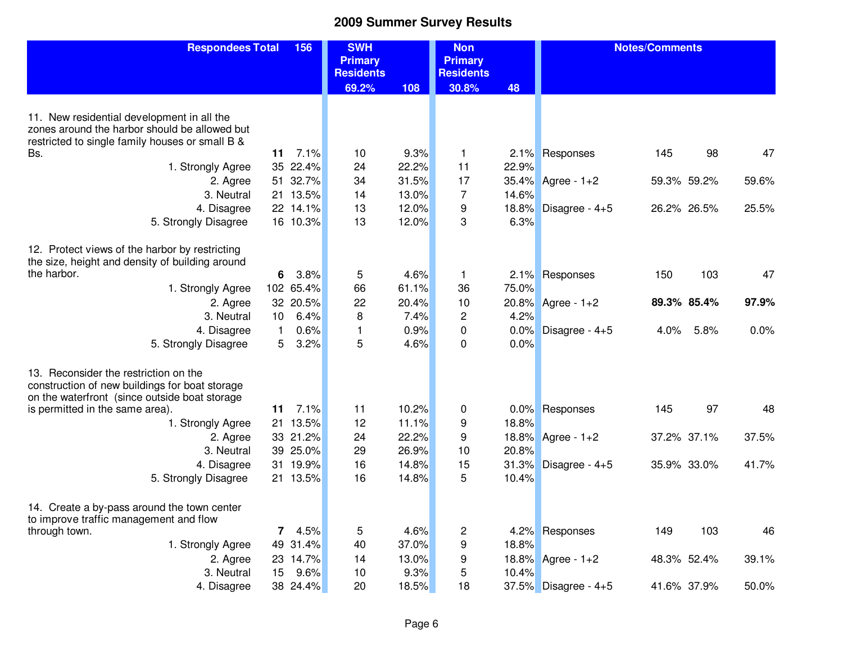| <b>Primary</b><br><b>Primary</b><br><b>Residents</b><br><b>Residents</b><br>69.2%<br>108<br>30.8%<br>48<br>11. New residential development in all the<br>zones around the harbor should be allowed but<br>restricted to single family houses or small B &<br>9.3%<br>11<br>7.1%<br>2.1% Responses<br>145<br>47<br>10<br>$\mathbf{1}$<br>98<br>Bs. |
|---------------------------------------------------------------------------------------------------------------------------------------------------------------------------------------------------------------------------------------------------------------------------------------------------------------------------------------------------|
|                                                                                                                                                                                                                                                                                                                                                   |
|                                                                                                                                                                                                                                                                                                                                                   |
|                                                                                                                                                                                                                                                                                                                                                   |
|                                                                                                                                                                                                                                                                                                                                                   |
|                                                                                                                                                                                                                                                                                                                                                   |
|                                                                                                                                                                                                                                                                                                                                                   |
|                                                                                                                                                                                                                                                                                                                                                   |
| 35 22.4%<br>24<br>11<br>1. Strongly Agree<br>22.2%<br>22.9%                                                                                                                                                                                                                                                                                       |
| 51 32.7%<br>31.5%<br>17<br>34<br>35.4% Agree - 1+2<br>59.3% 59.2%<br>59.6%<br>2. Agree                                                                                                                                                                                                                                                            |
| 21 13.5%<br>7<br>3. Neutral<br>14<br>13.0%<br>14.6%                                                                                                                                                                                                                                                                                               |
| 22 14.1%<br>13<br>12.0%<br>9<br>18.8%<br>Disagree - 4+5<br>26.2% 26.5%<br>25.5%<br>4. Disagree                                                                                                                                                                                                                                                    |
| 13<br>3<br>6.3%<br>5. Strongly Disagree<br>16 10.3%<br>12.0%                                                                                                                                                                                                                                                                                      |
| 12. Protect views of the harbor by restricting                                                                                                                                                                                                                                                                                                    |
| the size, height and density of building around                                                                                                                                                                                                                                                                                                   |
| the harbor.<br>5<br>3.8%<br>4.6%<br>Responses<br>103<br>47<br>6<br>$\mathbf{1}$<br>2.1%<br>150                                                                                                                                                                                                                                                    |
| 102 65.4%<br>61.1%<br>1. Strongly Agree<br>66<br>36<br>75.0%                                                                                                                                                                                                                                                                                      |
| 97.9%<br>32 20.5%<br>22<br>20.4%<br>10<br>20.8% Agree - 1+2<br>89.3% 85.4%<br>2. Agree                                                                                                                                                                                                                                                            |
| 4.2%<br>3. Neutral<br>6.4%<br>8<br>7.4%<br>2<br>10                                                                                                                                                                                                                                                                                                |
| 4. Disagree<br>0.6%<br>0.9%<br>0.0%<br>Disagree - 4+5<br>5.8%<br>0.0%<br>$\mathbf{1}$<br>$\mathbf{1}$<br>0<br>4.0%                                                                                                                                                                                                                                |
| 5<br>3.2%<br>5. Strongly Disagree<br>5<br>4.6%<br>$\mathbf{0}$<br>0.0%                                                                                                                                                                                                                                                                            |
|                                                                                                                                                                                                                                                                                                                                                   |
| 13. Reconsider the restriction on the                                                                                                                                                                                                                                                                                                             |
| construction of new buildings for boat storage                                                                                                                                                                                                                                                                                                    |
| on the waterfront (since outside boat storage<br>7.1%<br>10.2%<br>11<br>11<br>Responses<br>145<br>97<br>48<br>is permitted in the same area).<br>0<br>$0.0\%$                                                                                                                                                                                     |
| 21 13.5%<br>9<br>1. Strongly Agree<br>12<br>11.1%<br>18.8%                                                                                                                                                                                                                                                                                        |
| 33 21.2%<br>24<br>22.2%<br>9<br>37.2% 37.1%<br>37.5%                                                                                                                                                                                                                                                                                              |
| 18.8% Agree - 1+2<br>2. Agree<br>39 25.0%<br>20.8%<br>3. Neutral<br>29<br>26.9%<br>10                                                                                                                                                                                                                                                             |
| 31 19.9%<br>15<br>16<br>14.8%<br>31.3%<br>35.9% 33.0%<br>4. Disagree<br>41.7%                                                                                                                                                                                                                                                                     |
| Disagree - $4+5$<br>16<br>5<br>5. Strongly Disagree<br>21 13.5%<br>14.8%<br>10.4%                                                                                                                                                                                                                                                                 |
|                                                                                                                                                                                                                                                                                                                                                   |
| 14. Create a by-pass around the town center                                                                                                                                                                                                                                                                                                       |
| to improve traffic management and flow                                                                                                                                                                                                                                                                                                            |
| 103<br>46<br>4.5%<br>5<br>4.6%<br>2<br>149<br>through town.<br>4.2% Responses<br>7                                                                                                                                                                                                                                                                |
| 9<br>1. Strongly Agree<br>49 31.4%<br>40<br>37.0%<br>18.8%                                                                                                                                                                                                                                                                                        |
| 23 14.7%<br>13.0%<br>18.8% Agree - 1+2<br>14<br>9<br>48.3% 52.4%<br>39.1%<br>2. Agree                                                                                                                                                                                                                                                             |
| 5<br>3. Neutral<br>9.6%<br>9.3%<br>10.4%<br>15<br>10                                                                                                                                                                                                                                                                                              |
| 38 24.4%<br>20<br>18.5%<br>18<br>37.5% Disagree - 4+5<br>41.6% 37.9%<br>50.0%<br>4. Disagree                                                                                                                                                                                                                                                      |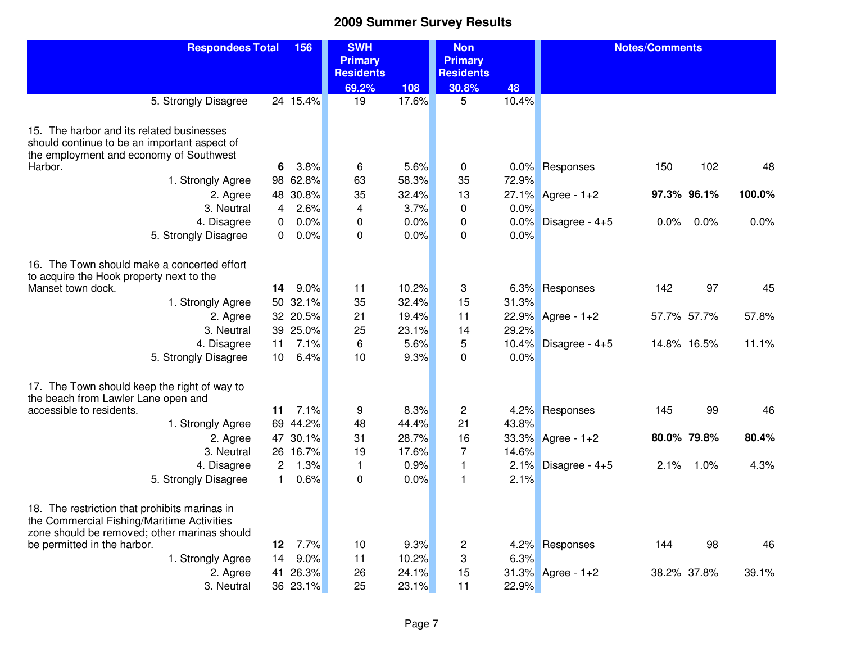| <b>Respondees Total</b>                                                     |                 | 156              | <b>SWH</b><br><b>Primary</b> |               | <b>Non</b><br><b>Primary</b> |       | <b>Notes/Comments</b> |      |             |        |
|-----------------------------------------------------------------------------|-----------------|------------------|------------------------------|---------------|------------------------------|-------|-----------------------|------|-------------|--------|
|                                                                             |                 |                  | <b>Residents</b>             |               | <b>Residents</b>             |       |                       |      |             |        |
|                                                                             |                 |                  | 69.2%                        | 108           | 30.8%                        | 48    |                       |      |             |        |
| 5. Strongly Disagree                                                        |                 | 24 15.4%         | 19                           | 17.6%         | 5                            | 10.4% |                       |      |             |        |
| 15. The harbor and its related businesses                                   |                 |                  |                              |               |                              |       |                       |      |             |        |
| should continue to be an important aspect of                                |                 |                  |                              |               |                              |       |                       |      |             |        |
| the employment and economy of Southwest                                     |                 |                  |                              |               |                              |       |                       |      |             |        |
| Harbor.                                                                     | 6               | 3.8%<br>98 62.8% | 6<br>63                      | 5.6%<br>58.3% | $\mathbf 0$<br>35            | 0.0%  | Responses             | 150  | 102         | 48     |
| 1. Strongly Agree                                                           |                 |                  |                              |               |                              | 72.9% |                       |      |             |        |
| 2. Agree                                                                    |                 | 48 30.8%<br>2.6% | 35<br>$\overline{4}$         | 32.4%<br>3.7% | 13<br>$\mathbf 0$            | 0.0%  | 27.1% Agree - 1+2     |      | 97.3% 96.1% | 100.0% |
| 3. Neutral                                                                  | 4               | 0.0%             | $\mathbf 0$                  | 0.0%          | $\mathbf 0$                  | 0.0%  |                       | 0.0% | 0.0%        | 0.0%   |
| 4. Disagree                                                                 | 0<br>0          | 0.0%             | $\mathbf 0$                  | 0.0%          | $\Omega$                     | 0.0%  | Disagree - 4+5        |      |             |        |
| 5. Strongly Disagree                                                        |                 |                  |                              |               |                              |       |                       |      |             |        |
| 16. The Town should make a concerted effort                                 |                 |                  |                              |               |                              |       |                       |      |             |        |
| to acquire the Hook property next to the                                    |                 |                  |                              |               |                              |       |                       |      |             |        |
| Manset town dock.                                                           | 14              | 9.0%             | 11                           | 10.2%         | 3                            |       | 6.3% Responses        | 142  | 97          | 45     |
| 1. Strongly Agree                                                           |                 | 50 32.1%         | 35                           | 32.4%         | 15                           | 31.3% |                       |      |             |        |
| 2. Agree                                                                    |                 | 32 20.5%         | 21                           | 19.4%         | 11                           |       | 22.9% Agree - 1+2     |      | 57.7% 57.7% | 57.8%  |
| 3. Neutral                                                                  |                 | 39 25.0%         | 25                           | 23.1%         | 14                           | 29.2% |                       |      |             |        |
| 4. Disagree                                                                 | 11              | 7.1%             | 6                            | 5.6%          | 5                            | 10.4% | Disagree - $4+5$      |      | 14.8% 16.5% | 11.1%  |
| 5. Strongly Disagree                                                        | 10 <sup>°</sup> | 6.4%             | 10                           | 9.3%          | $\mathbf 0$                  | 0.0%  |                       |      |             |        |
| 17. The Town should keep the right of way to                                |                 |                  |                              |               |                              |       |                       |      |             |        |
| the beach from Lawler Lane open and                                         |                 |                  |                              |               |                              |       |                       |      |             |        |
| accessible to residents.                                                    | 11              | 7.1%             | 9                            | 8.3%          | $\overline{c}$               | 4.2%  | Responses             | 145  | 99          | 46     |
| 1. Strongly Agree                                                           |                 | 69 44.2%         | 48                           | 44.4%         | 21                           | 43.8% |                       |      |             |        |
| 2. Agree                                                                    |                 | 47 30.1%         | 31                           | 28.7%         | 16                           | 33.3% | Agree - $1+2$         |      | 80.0% 79.8% | 80.4%  |
| 3. Neutral                                                                  |                 | 26 16.7%         | 19                           | 17.6%         | $\overline{7}$               | 14.6% |                       |      |             |        |
| 4. Disagree                                                                 | $\overline{2}$  | 1.3%             | $\mathbf{1}$                 | 0.9%          | $\mathbf{1}$                 | 2.1%  | Disagree - $4+5$      | 2.1% | 1.0%        | 4.3%   |
| 5. Strongly Disagree                                                        | $\mathbf{1}$    | 0.6%             | $\mathbf 0$                  | 0.0%          | $\mathbf{1}$                 | 2.1%  |                       |      |             |        |
| 18. The restriction that prohibits marinas in                               |                 |                  |                              |               |                              |       |                       |      |             |        |
| the Commercial Fishing/Maritime Activities                                  |                 |                  |                              |               |                              |       |                       |      |             |        |
| zone should be removed; other marinas should<br>be permitted in the harbor. | 12              | 7.7%             | 10                           | 9.3%          | $\overline{c}$               | 4.2%  | Responses             | 144  | 98          | 46     |
| 1. Strongly Agree                                                           | 14              | 9.0%             | 11                           | 10.2%         | 3                            | 6.3%  |                       |      |             |        |
| 2. Agree                                                                    | 41              | 26.3%            | 26                           | 24.1%         | 15                           |       | 31.3% Agree - 1+2     |      | 38.2% 37.8% | 39.1%  |
| 3. Neutral                                                                  |                 | 36 23.1%         | 25                           | 23.1%         | 11                           | 22.9% |                       |      |             |        |
|                                                                             |                 |                  |                              |               |                              |       |                       |      |             |        |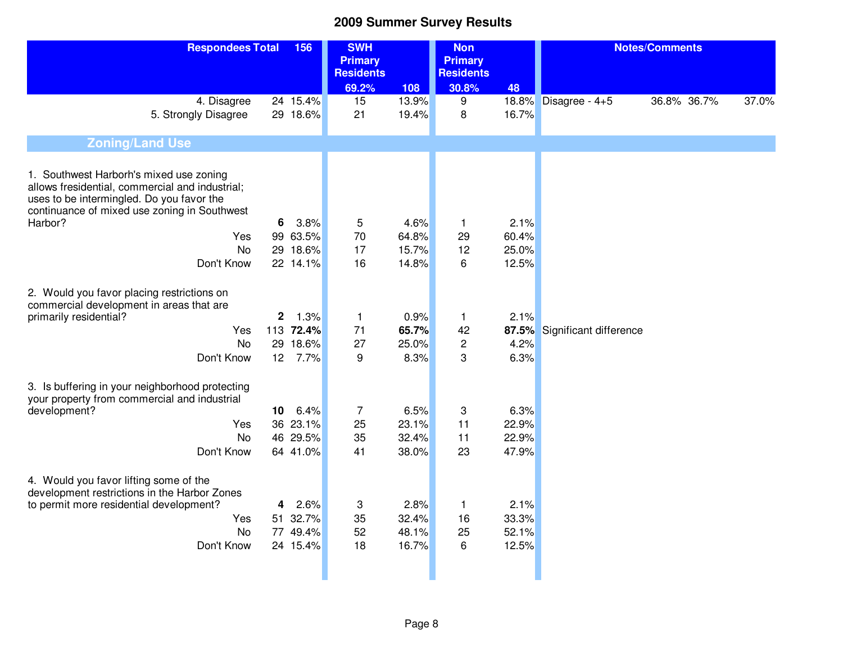| <b>Respondees Total</b>                                                                                                                                                                            |                 | 156       | <b>SWH</b><br><b>Primary</b><br><b>Residents</b> |       | <b>Non</b><br><b>Primary</b><br><b>Residents</b> |       | <b>Notes/Comments</b>  |             |       |
|----------------------------------------------------------------------------------------------------------------------------------------------------------------------------------------------------|-----------------|-----------|--------------------------------------------------|-------|--------------------------------------------------|-------|------------------------|-------------|-------|
|                                                                                                                                                                                                    |                 |           | 69.2%                                            | 108   | 30.8%                                            | 48    |                        |             |       |
| 4. Disagree                                                                                                                                                                                        |                 | 24 15.4%  | 15                                               | 13.9% | 9                                                |       | 18.8% Disagree - 4+5   | 36.8% 36.7% | 37.0% |
| 5. Strongly Disagree                                                                                                                                                                               |                 | 29 18.6%  | 21                                               | 19.4% | 8                                                | 16.7% |                        |             |       |
| <b>Zoning/Land Use</b>                                                                                                                                                                             |                 |           |                                                  |       |                                                  |       |                        |             |       |
| 1. Southwest Harborh's mixed use zoning<br>allows fresidential, commercial and industrial;<br>uses to be intermingled. Do you favor the<br>continuance of mixed use zoning in Southwest<br>Harbor? | 6               | 3.8%      | 5                                                | 4.6%  | $\mathbf{1}$                                     | 2.1%  |                        |             |       |
| Yes                                                                                                                                                                                                |                 | 99 63.5%  | 70                                               | 64.8% | 29                                               | 60.4% |                        |             |       |
| <b>No</b>                                                                                                                                                                                          |                 | 29 18.6%  | 17                                               | 15.7% | 12                                               | 25.0% |                        |             |       |
| Don't Know                                                                                                                                                                                         |                 | 22 14.1%  | 16                                               | 14.8% | 6                                                | 12.5% |                        |             |       |
|                                                                                                                                                                                                    |                 |           |                                                  |       |                                                  |       |                        |             |       |
| 2. Would you favor placing restrictions on<br>commercial development in areas that are<br>primarily residential?                                                                                   | $\mathbf 2$     | 1.3%      | $\mathbf{1}$                                     | 0.9%  | $\mathbf{1}$                                     | 2.1%  |                        |             |       |
| Yes                                                                                                                                                                                                |                 | 113 72.4% | 71                                               | 65.7% | 42                                               | 87.5% | Significant difference |             |       |
| <b>No</b>                                                                                                                                                                                          | 29              | 18.6%     | 27                                               | 25.0% | $\overline{c}$                                   | 4.2%  |                        |             |       |
| Don't Know                                                                                                                                                                                         | 12 <sup>°</sup> | 7.7%      | 9                                                | 8.3%  | 3                                                | 6.3%  |                        |             |       |
| 3. Is buffering in your neighborhood protecting<br>your property from commercial and industrial                                                                                                    |                 |           |                                                  |       |                                                  |       |                        |             |       |
| development?                                                                                                                                                                                       | 10              | 6.4%      | $\overline{7}$                                   | 6.5%  | 3                                                | 6.3%  |                        |             |       |
| Yes                                                                                                                                                                                                |                 | 36 23.1%  | 25                                               | 23.1% | 11                                               | 22.9% |                        |             |       |
| <b>No</b>                                                                                                                                                                                          |                 | 46 29.5%  | 35                                               | 32.4% | 11                                               | 22.9% |                        |             |       |
| Don't Know                                                                                                                                                                                         |                 | 64 41.0%  | 41                                               | 38.0% | 23                                               | 47.9% |                        |             |       |
| 4. Would you favor lifting some of the<br>development restrictions in the Harbor Zones                                                                                                             |                 |           |                                                  |       |                                                  |       |                        |             |       |
| to permit more residential development?                                                                                                                                                            | 4               | 2.6%      | 3                                                | 2.8%  | $\mathbf{1}$                                     | 2.1%  |                        |             |       |
| Yes                                                                                                                                                                                                |                 | 51 32.7%  | 35                                               | 32.4% | 16                                               | 33.3% |                        |             |       |
| <b>No</b>                                                                                                                                                                                          |                 | 77 49.4%  | 52                                               | 48.1% | 25<br>6                                          | 52.1% |                        |             |       |
| Don't Know                                                                                                                                                                                         |                 | 24 15.4%  | 18                                               | 16.7% |                                                  | 12.5% |                        |             |       |
|                                                                                                                                                                                                    |                 |           |                                                  |       |                                                  |       |                        |             |       |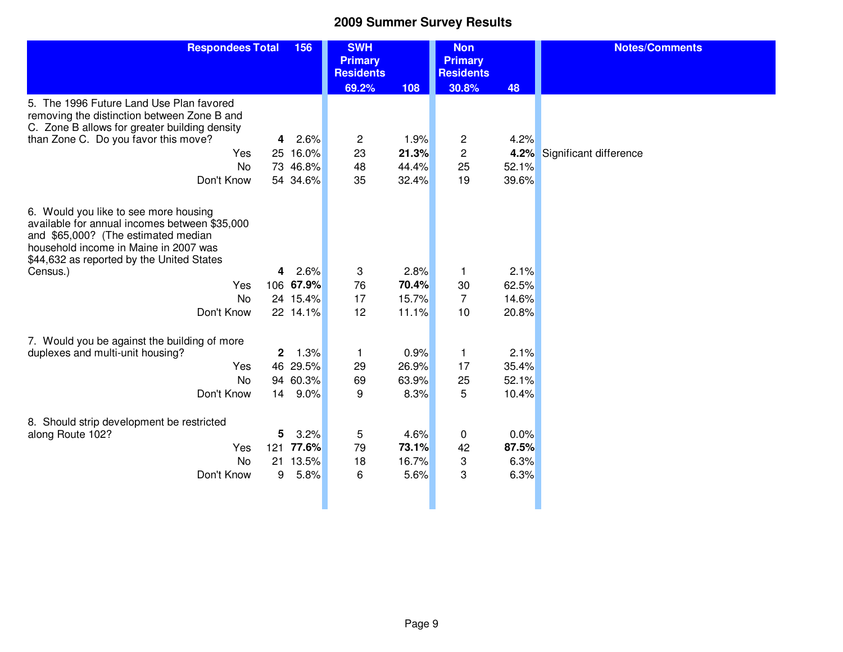| <b>Respondees Total</b>                                                                                                                                                                                             |                | 156       | <b>SWH</b><br><b>Primary</b> |       | <b>Non</b><br><b>Primary</b> |       | <b>Notes/Comments</b>  |
|---------------------------------------------------------------------------------------------------------------------------------------------------------------------------------------------------------------------|----------------|-----------|------------------------------|-------|------------------------------|-------|------------------------|
|                                                                                                                                                                                                                     |                |           | <b>Residents</b>             |       | <b>Residents</b>             |       |                        |
|                                                                                                                                                                                                                     |                |           | 69.2%                        | 108   | 30.8%                        | 48    |                        |
| 5. The 1996 Future Land Use Plan favored<br>removing the distinction between Zone B and<br>C. Zone B allows for greater building density                                                                            |                |           |                              |       |                              |       |                        |
| than Zone C. Do you favor this move?                                                                                                                                                                                |                | 4 2.6%    | $\overline{c}$               | 1.9%  | $\overline{c}$               | 4.2%  |                        |
| Yes                                                                                                                                                                                                                 |                | 25 16.0%  | 23                           | 21.3% | $\overline{c}$               | 4.2%  | Significant difference |
| No                                                                                                                                                                                                                  |                | 73 46.8%  | 48                           | 44.4% | 25                           | 52.1% |                        |
| Don't Know                                                                                                                                                                                                          |                | 54 34.6%  | 35                           | 32.4% | 19                           | 39.6% |                        |
|                                                                                                                                                                                                                     |                |           |                              |       |                              |       |                        |
| 6. Would you like to see more housing<br>available for annual incomes between \$35,000<br>and \$65,000? (The estimated median<br>household income in Maine in 2007 was<br>\$44,632 as reported by the United States |                |           |                              |       |                              |       |                        |
| Census.)                                                                                                                                                                                                            | 4              | 2.6%      | 3                            | 2.8%  | $\mathbf{1}$                 | 2.1%  |                        |
| Yes                                                                                                                                                                                                                 |                | 106 67.9% | 76                           | 70.4% | 30                           | 62.5% |                        |
| <b>No</b>                                                                                                                                                                                                           |                | 24 15.4%  | 17                           | 15.7% | $\overline{7}$               | 14.6% |                        |
| Don't Know                                                                                                                                                                                                          |                | 22 14.1%  | 12                           | 11.1% | 10                           | 20.8% |                        |
|                                                                                                                                                                                                                     |                |           |                              |       |                              |       |                        |
| 7. Would you be against the building of more                                                                                                                                                                        |                |           |                              |       |                              |       |                        |
| duplexes and multi-unit housing?                                                                                                                                                                                    | $\overline{2}$ | 1.3%      | $\mathbf{1}$                 | 0.9%  | $\mathbf{1}$                 | 2.1%  |                        |
| Yes                                                                                                                                                                                                                 |                | 46 29.5%  | 29                           | 26.9% | 17                           | 35.4% |                        |
| No                                                                                                                                                                                                                  |                | 94 60.3%  | 69                           | 63.9% | 25                           | 52.1% |                        |
| Don't Know                                                                                                                                                                                                          | 14             | $9.0\%$   | 9                            | 8.3%  | 5                            | 10.4% |                        |
|                                                                                                                                                                                                                     |                |           |                              |       |                              |       |                        |
| 8. Should strip development be restricted                                                                                                                                                                           |                |           |                              |       |                              |       |                        |
| along Route 102?                                                                                                                                                                                                    | 5              | 3.2%      | 5                            | 4.6%  | $\mathbf 0$                  | 0.0%  |                        |
| Yes                                                                                                                                                                                                                 | 121            | 77.6%     | 79                           | 73.1% | 42                           | 87.5% |                        |
| <b>No</b>                                                                                                                                                                                                           |                | 21 13.5%  | 18                           | 16.7% | 3                            | 6.3%  |                        |
| Don't Know                                                                                                                                                                                                          | 9              | 5.8%      | 6                            | 5.6%  | 3                            | 6.3%  |                        |
|                                                                                                                                                                                                                     |                |           |                              |       |                              |       |                        |
|                                                                                                                                                                                                                     |                |           |                              |       |                              |       |                        |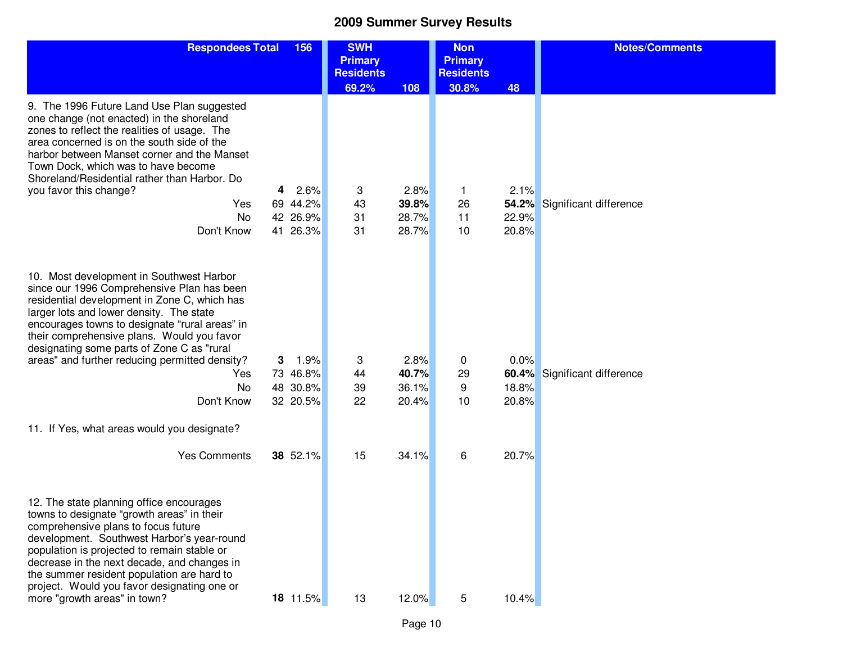| <b>Respondees Total</b>                                                                                                                                                                                                                                                                                                                                                                                                                                                             | 156                                                       | <b>SWH</b><br><b>Primary</b><br><b>Residents</b> |                                          | <b>Non</b><br><b>Primary</b><br><b>Residents</b> |                                 | <b>Notes/Comments</b>        |
|-------------------------------------------------------------------------------------------------------------------------------------------------------------------------------------------------------------------------------------------------------------------------------------------------------------------------------------------------------------------------------------------------------------------------------------------------------------------------------------|-----------------------------------------------------------|--------------------------------------------------|------------------------------------------|--------------------------------------------------|---------------------------------|------------------------------|
|                                                                                                                                                                                                                                                                                                                                                                                                                                                                                     |                                                           | 69.2%                                            | 108                                      | 30.8%                                            | 48                              |                              |
| 9. The 1996 Future Land Use Plan suggested<br>one change (not enacted) in the shoreland<br>zones to reflect the realities of usage. The<br>area concerned is on the south side of the<br>harbor between Manset corner and the Manset<br>Town Dock, which was to have become<br>Shoreland/Residential rather than Harbor. Do                                                                                                                                                         |                                                           |                                                  |                                          |                                                  |                                 |                              |
| you favor this change?                                                                                                                                                                                                                                                                                                                                                                                                                                                              | 2.6%<br>4                                                 | 3                                                | 2.8%                                     | 1.                                               | 2.1%                            |                              |
| Yes                                                                                                                                                                                                                                                                                                                                                                                                                                                                                 | 69 44.2%                                                  | 43                                               | 39.8%                                    | 26                                               | 54.2%                           | Significant difference       |
| No<br>Don't Know                                                                                                                                                                                                                                                                                                                                                                                                                                                                    | 42 26.9%<br>41 26.3%                                      | 31<br>31                                         | 28.7%<br>28.7%                           | 11<br>10                                         | 22.9%<br>20.8%                  |                              |
|                                                                                                                                                                                                                                                                                                                                                                                                                                                                                     |                                                           |                                                  |                                          |                                                  |                                 |                              |
| 10. Most development in Southwest Harbor<br>since our 1996 Comprehensive Plan has been<br>residential development in Zone C, which has<br>larger lots and lower density. The state<br>encourages towns to designate "rural areas" in<br>their comprehensive plans. Would you favor<br>designating some parts of Zone C as "rural<br>areas" and further reducing permitted density?<br>Yes<br>No<br>Don't Know<br>11. If Yes, what areas would you designate?<br><b>Yes Comments</b> | 1.9%<br>3<br>73 46.8%<br>48 30.8%<br>32 20.5%<br>38 52.1% | 3<br>44<br>39<br>22<br>15                        | 2.8%<br>40.7%<br>36.1%<br>20.4%<br>34.1% | 0<br>29<br>9<br>10<br>6                          | 0.0%<br>18.8%<br>20.8%<br>20.7% | 60.4% Significant difference |
| 12. The state planning office encourages<br>towns to designate "growth areas" in their<br>comprehensive plans to focus future<br>development. Southwest Harbor's year-round<br>population is projected to remain stable or<br>decrease in the next decade, and changes in<br>the summer resident population are hard to<br>project. Would you favor designating one or<br>more "growth areas" in town?                                                                              | 18 11.5%                                                  | 13                                               | 12.0%                                    | 5                                                | 10.4%                           |                              |

Page 10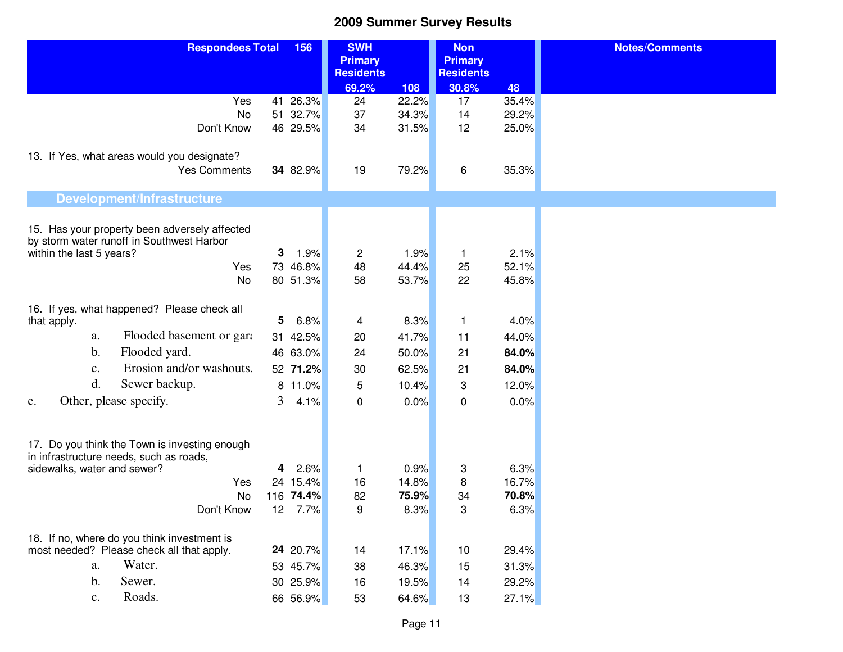| <b>Respondees Total</b>                                                                    | 156                    | <b>SWH</b>       |                | <b>Non</b>       |                | <b>Notes/Comments</b> |
|--------------------------------------------------------------------------------------------|------------------------|------------------|----------------|------------------|----------------|-----------------------|
|                                                                                            |                        | <b>Primary</b>   |                | <b>Primary</b>   |                |                       |
|                                                                                            |                        | <b>Residents</b> |                | <b>Residents</b> |                |                       |
| Yes                                                                                        |                        | 69.2%            | 108            | 30.8%            | 48             |                       |
| No                                                                                         | 41 26.3%<br>51 32.7%   | 24<br>37         | 22.2%<br>34.3% | 17<br>14         | 35.4%<br>29.2% |                       |
| Don't Know                                                                                 | 46 29.5%               | 34               | 31.5%          | 12               | 25.0%          |                       |
|                                                                                            |                        |                  |                |                  |                |                       |
| 13. If Yes, what areas would you designate?                                                |                        |                  |                |                  |                |                       |
| <b>Yes Comments</b>                                                                        | 34 82.9%               | 19               | 79.2%          | 6                | 35.3%          |                       |
|                                                                                            |                        |                  |                |                  |                |                       |
| <b>Development/Infrastructure</b>                                                          |                        |                  |                |                  |                |                       |
|                                                                                            |                        |                  |                |                  |                |                       |
| 15. Has your property been adversely affected<br>by storm water runoff in Southwest Harbor |                        |                  |                |                  |                |                       |
| within the last 5 years?                                                                   | 3<br>1.9%              | $\overline{c}$   | 1.9%           | 1                | 2.1%           |                       |
| Yes                                                                                        | 73 46.8%               | 48               | 44.4%          | 25               | 52.1%          |                       |
| No                                                                                         | 80 51.3%               | 58               | 53.7%          | 22               | 45.8%          |                       |
|                                                                                            |                        |                  |                |                  |                |                       |
| 16. If yes, what happened? Please check all                                                |                        |                  |                |                  |                |                       |
| that apply.                                                                                | 5<br>6.8%              | 4                | 8.3%           | 1                | 4.0%           |                       |
| Flooded basement or garant<br>a.                                                           | 31 42.5%               | 20               | 41.7%          | 11               | 44.0%          |                       |
| Flooded yard.<br>$\mathbf b$ .                                                             | 46 63.0%               | 24               | 50.0%          | 21               | 84.0%          |                       |
| Erosion and/or washouts.<br>c.                                                             | 52 71.2%               | 30               | 62.5%          | 21               | 84.0%          |                       |
| d.<br>Sewer backup.                                                                        | 8 11.0%                | 5                | 10.4%          | 3                | 12.0%          |                       |
| Other, please specify.<br>e.                                                               | $\overline{3}$<br>4.1% | $\mathbf 0$      | 0.0%           | $\mathbf 0$      | 0.0%           |                       |
|                                                                                            |                        |                  |                |                  |                |                       |
|                                                                                            |                        |                  |                |                  |                |                       |
| 17. Do you think the Town is investing enough                                              |                        |                  |                |                  |                |                       |
| in infrastructure needs, such as roads,<br>sidewalks, water and sewer?                     | 2.6%<br>4              | 1                | 0.9%           | 3                | 6.3%           |                       |
| Yes                                                                                        | 15.4%<br>24            | 16               | 14.8%          | 8                | 16.7%          |                       |
| <b>No</b>                                                                                  | 74.4%<br>116           | 82               | 75.9%          | 34               | 70.8%          |                       |
| Don't Know                                                                                 | 12<br>7.7%             | 9                | 8.3%           | 3                | 6.3%           |                       |
|                                                                                            |                        |                  |                |                  |                |                       |
| 18. If no, where do you think investment is                                                |                        |                  |                |                  |                |                       |
| most needed? Please check all that apply.                                                  | 24 20.7%               | 14               | 17.1%          | 10               | 29.4%          |                       |
| Water.<br>a.                                                                               | 53 45.7%               | 38               | 46.3%          | 15               | 31.3%          |                       |
| $b$ .<br>Sewer.                                                                            | 30 25.9%               | 16               | 19.5%          | 14               | 29.2%          |                       |
| Roads.<br>c.                                                                               | 66 56.9%               | 53               | 64.6%          | 13               | 27.1%          |                       |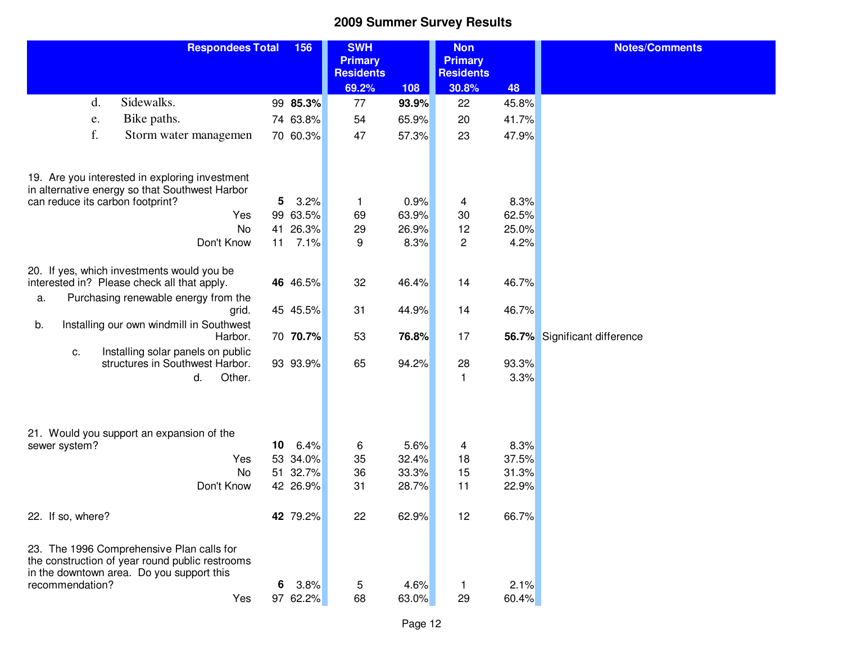| <b>Respondees Total</b>                                                                                                                   |                 | 156      | <b>SWH</b><br><b>Primary</b><br><b>Residents</b> |       | <b>Non</b><br><b>Primary</b><br><b>Residents</b> |       | <b>Notes/Comments</b>        |
|-------------------------------------------------------------------------------------------------------------------------------------------|-----------------|----------|--------------------------------------------------|-------|--------------------------------------------------|-------|------------------------------|
|                                                                                                                                           |                 |          | 69.2%                                            | 108   | 30.8%                                            | 48    |                              |
| Sidewalks.<br>d.                                                                                                                          |                 | 99 85.3% | 77                                               | 93.9% | 22                                               | 45.8% |                              |
| Bike paths.<br>e.                                                                                                                         |                 | 74 63.8% | 54                                               | 65.9% | 20                                               | 41.7% |                              |
| f.<br>Storm water managemen                                                                                                               |                 | 70 60.3% | 47                                               | 57.3% | 23                                               | 47.9% |                              |
| 19. Are you interested in exploring investment<br>in alternative energy so that Southwest Harbor                                          |                 |          |                                                  |       |                                                  |       |                              |
| can reduce its carbon footprint?                                                                                                          | 5               | 3.2%     | 1                                                | 0.9%  | 4                                                | 8.3%  |                              |
| Yes                                                                                                                                       | 99              | 63.5%    | 69                                               | 63.9% | 30                                               | 62.5% |                              |
| <b>No</b>                                                                                                                                 | 41              | 26.3%    | 29                                               | 26.9% | 12                                               | 25.0% |                              |
| Don't Know                                                                                                                                | 11              | 7.1%     | 9                                                | 8.3%  | $\overline{c}$                                   | 4.2%  |                              |
| 20. If yes, which investments would you be<br>interested in? Please check all that apply.                                                 |                 | 46 46.5% | 32                                               | 46.4% | 14                                               | 46.7% |                              |
| Purchasing renewable energy from the<br>a.                                                                                                |                 |          |                                                  |       |                                                  |       |                              |
| grid.                                                                                                                                     |                 | 45 45.5% | 31                                               | 44.9% | 14                                               | 46.7% |                              |
| Installing our own windmill in Southwest<br>b.<br>Harbor.                                                                                 |                 | 70 70.7% | 53                                               | 76.8% | 17                                               |       | 56.7% Significant difference |
| Installing solar panels on public<br>c.<br>structures in Southwest Harbor.                                                                |                 | 93 93.9% | 65                                               | 94.2% | 28                                               | 93.3% |                              |
| Other.<br>d.                                                                                                                              |                 |          |                                                  |       | 1                                                | 3.3%  |                              |
|                                                                                                                                           |                 |          |                                                  |       |                                                  |       |                              |
| 21. Would you support an expansion of the                                                                                                 |                 |          |                                                  |       |                                                  |       |                              |
| sewer system?                                                                                                                             | 10 <sub>1</sub> | 6.4%     | 6                                                | 5.6%  | 4                                                | 8.3%  |                              |
| Yes                                                                                                                                       | 53              | 34.0%    | 35                                               | 32.4% | 18                                               | 37.5% |                              |
| <b>No</b>                                                                                                                                 | 51              | 32.7%    | 36                                               | 33.3% | 15                                               | 31.3% |                              |
| Don't Know                                                                                                                                |                 | 42 26.9% | 31                                               | 28.7% | 11                                               | 22.9% |                              |
| 22. If so, where?                                                                                                                         |                 | 42 79.2% | 22                                               | 62.9% | 12                                               | 66.7% |                              |
| 23. The 1996 Comprehensive Plan calls for<br>the construction of year round public restrooms<br>in the downtown area. Do you support this |                 |          |                                                  |       |                                                  |       |                              |
| recommendation?                                                                                                                           | 6               | 3.8%     | 5                                                | 4.6%  | 1                                                | 2.1%  |                              |
| Yes                                                                                                                                       |                 | 97 62.2% | 68                                               | 63.0% | 29                                               | 60.4% |                              |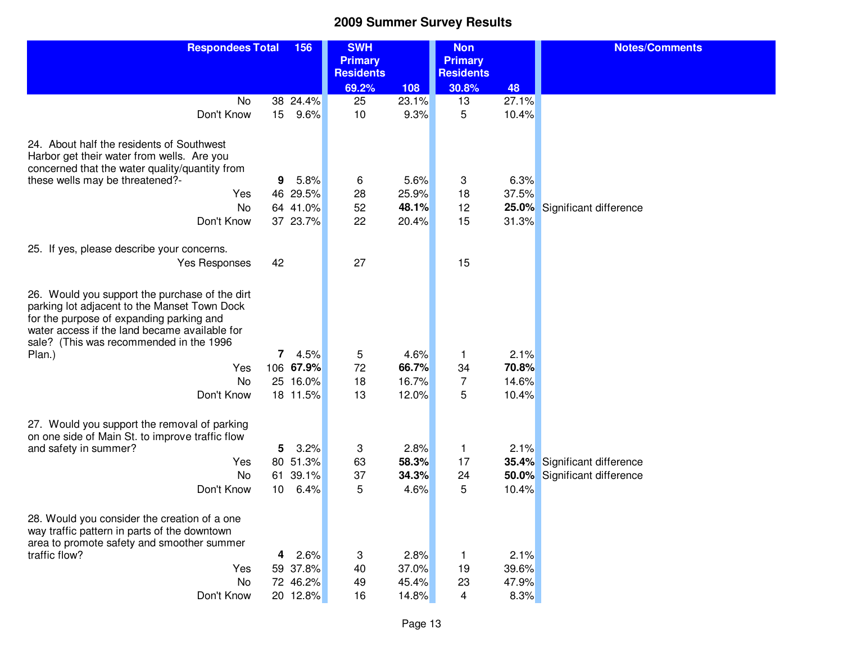| <b>Respondees Total</b><br>156 |         | <b>SWH</b>                                                                                                                                                                                                               |                                                                     | <b>Non</b>                                                         |                                                                                        | <b>Notes/Comments</b>                                              |
|--------------------------------|---------|--------------------------------------------------------------------------------------------------------------------------------------------------------------------------------------------------------------------------|---------------------------------------------------------------------|--------------------------------------------------------------------|----------------------------------------------------------------------------------------|--------------------------------------------------------------------|
|                                |         | <b>Residents</b>                                                                                                                                                                                                         |                                                                     | <b>Residents</b>                                                   |                                                                                        |                                                                    |
|                                |         | 69.2%                                                                                                                                                                                                                    | 108                                                                 | 30.8%                                                              | 48                                                                                     |                                                                    |
|                                |         |                                                                                                                                                                                                                          |                                                                     |                                                                    |                                                                                        |                                                                    |
|                                |         |                                                                                                                                                                                                                          |                                                                     |                                                                    |                                                                                        |                                                                    |
|                                |         |                                                                                                                                                                                                                          |                                                                     |                                                                    |                                                                                        |                                                                    |
|                                |         |                                                                                                                                                                                                                          |                                                                     |                                                                    |                                                                                        |                                                                    |
|                                |         |                                                                                                                                                                                                                          |                                                                     |                                                                    |                                                                                        |                                                                    |
|                                |         |                                                                                                                                                                                                                          |                                                                     |                                                                    |                                                                                        | Significant difference                                             |
|                                |         |                                                                                                                                                                                                                          |                                                                     |                                                                    |                                                                                        |                                                                    |
|                                |         |                                                                                                                                                                                                                          |                                                                     |                                                                    |                                                                                        |                                                                    |
|                                |         |                                                                                                                                                                                                                          |                                                                     |                                                                    |                                                                                        |                                                                    |
|                                | 4.5%    | 5<br>72<br>18                                                                                                                                                                                                            | 4.6%<br>66.7%<br>16.7%                                              | 1<br>34<br>7                                                       | 2.1%<br>70.8%<br>14.6%                                                                 |                                                                    |
|                                |         |                                                                                                                                                                                                                          |                                                                     |                                                                    |                                                                                        |                                                                    |
|                                | 3.2%    | 3<br>63<br>37<br>5                                                                                                                                                                                                       | 2.8%<br>58.3%<br>34.3%<br>4.6%                                      | 1<br>17<br>24<br>5                                                 | 2.1%<br>35.4%<br>50.0%<br>10.4%                                                        | Significant difference<br>Significant difference                   |
|                                | 2.6%    | 3<br>40<br>49                                                                                                                                                                                                            | 2.8%<br>37.0%<br>45.4%                                              | 1<br>19<br>23                                                      | 2.1%<br>39.6%<br>47.9%                                                                 |                                                                    |
|                                | 9<br>42 | 38 24.4%<br>15 <sub>1</sub><br>9.6%<br>5.8%<br>46 29.5%<br>64 41.0%<br>37 23.7%<br>$\overline{7}$<br>106 67.9%<br>25 16.0%<br>18 11.5%<br>5.<br>80 51.3%<br>61 39.1%<br>10 6.4%<br>4<br>59 37.8%<br>72 46.2%<br>20 12.8% | <b>Primary</b><br>25<br>10<br>6<br>28<br>52<br>22<br>27<br>13<br>16 | 23.1%<br>9.3%<br>5.6%<br>25.9%<br>48.1%<br>20.4%<br>12.0%<br>14.8% | <b>Primary</b><br>13<br>5<br>3<br>18<br>12<br>15<br>15<br>5<br>$\overline{\mathbf{4}}$ | 27.1%<br>10.4%<br>6.3%<br>37.5%<br>25.0%<br>31.3%<br>10.4%<br>8.3% |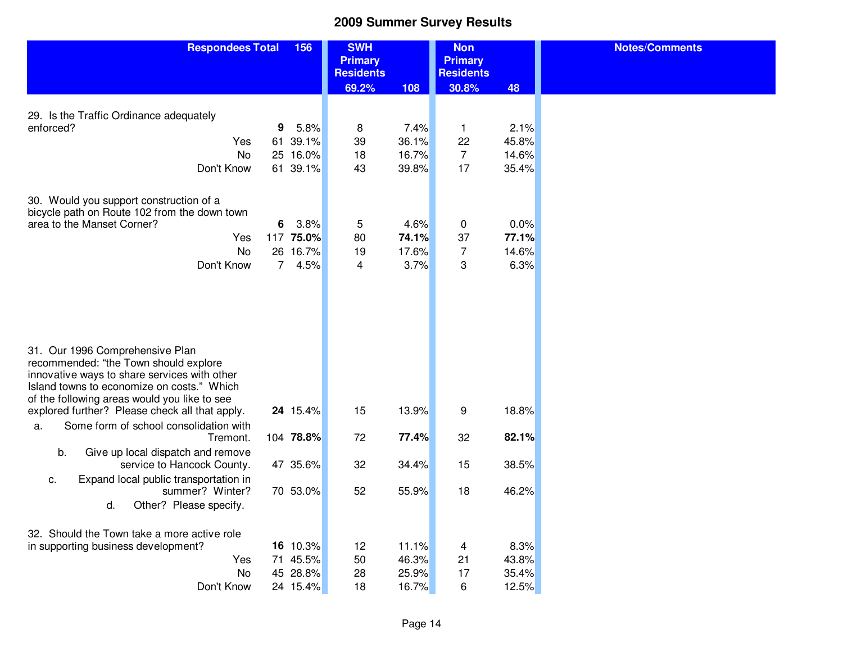**Notes/Comments**

| <b>Respondees Total</b>                                                                                                                                                                                                                                                  | 156 |               | <b>SWH</b><br><b>Primary</b><br><b>Residents</b> |                | <b>Non</b><br><b>Primary</b><br><b>Residents</b> |               |  |
|--------------------------------------------------------------------------------------------------------------------------------------------------------------------------------------------------------------------------------------------------------------------------|-----|---------------|--------------------------------------------------|----------------|--------------------------------------------------|---------------|--|
|                                                                                                                                                                                                                                                                          |     |               | 69.2%                                            | 108            | 30.8%                                            | 48            |  |
|                                                                                                                                                                                                                                                                          |     |               |                                                  |                |                                                  |               |  |
| 29. Is the Traffic Ordinance adequately                                                                                                                                                                                                                                  |     |               |                                                  |                |                                                  |               |  |
| enforced?                                                                                                                                                                                                                                                                | 9   | 5.8%<br>39.1% | 8<br>39                                          | 7.4%           | 1<br>22                                          | 2.1%<br>45.8% |  |
| Yes<br><b>No</b>                                                                                                                                                                                                                                                         | 61  | 25 16.0%      | 18                                               | 36.1%<br>16.7% | 7                                                | 14.6%         |  |
| Don't Know                                                                                                                                                                                                                                                               |     | 61 39.1%      | 43                                               | 39.8%          | 17                                               | 35.4%         |  |
|                                                                                                                                                                                                                                                                          |     |               |                                                  |                |                                                  |               |  |
| 30. Would you support construction of a<br>bicycle path on Route 102 from the down town                                                                                                                                                                                  |     |               |                                                  |                |                                                  |               |  |
| area to the Manset Corner?                                                                                                                                                                                                                                               | 6   | 3.8%          | 5                                                | 4.6%           | $\pmb{0}$                                        | 0.0%          |  |
| Yes                                                                                                                                                                                                                                                                      |     | 117 75.0%     | 80                                               | 74.1%          | 37                                               | 77.1%         |  |
| <b>No</b>                                                                                                                                                                                                                                                                |     | 26 16.7%      | 19                                               | 17.6%          | $\overline{7}$                                   | 14.6%         |  |
| Don't Know                                                                                                                                                                                                                                                               | 7   | 4.5%          | 4                                                | 3.7%           | 3                                                | 6.3%          |  |
| 31. Our 1996 Comprehensive Plan<br>recommended: "the Town should explore<br>innovative ways to share services with other<br>Island towns to economize on costs." Which<br>of the following areas would you like to see<br>explored further? Please check all that apply. |     | 24 15.4%      | 15                                               | 13.9%          | 9                                                | 18.8%         |  |
| Some form of school consolidation with<br>a.                                                                                                                                                                                                                             |     |               |                                                  |                |                                                  |               |  |
| Tremont.<br>b.<br>Give up local dispatch and remove                                                                                                                                                                                                                      |     | 104 78.8%     | 72                                               | 77.4%          | 32                                               | 82.1%         |  |
| service to Hancock County.<br>Expand local public transportation in<br>C.                                                                                                                                                                                                |     | 47 35.6%      | 32                                               | 34.4%          | 15                                               | 38.5%         |  |
| summer? Winter?<br>d.<br>Other? Please specify.                                                                                                                                                                                                                          |     | 70 53.0%      | 52                                               | 55.9%          | 18                                               | 46.2%         |  |
| 32. Should the Town take a more active role<br>in supporting business development?                                                                                                                                                                                       |     | 16 10.3%      | 12                                               | 11.1%          | $\overline{\mathbf{4}}$                          | 8.3%          |  |
| Yes                                                                                                                                                                                                                                                                      |     | 71 45.5%      | 50                                               | 46.3%          | 21                                               | 43.8%         |  |
| <b>No</b>                                                                                                                                                                                                                                                                |     | 45 28.8%      | 28                                               | 25.9%          | 17                                               | 35.4%         |  |
| Don't Know                                                                                                                                                                                                                                                               |     | 24 15.4%      | 18                                               | 16.7%          | 6                                                | 12.5%         |  |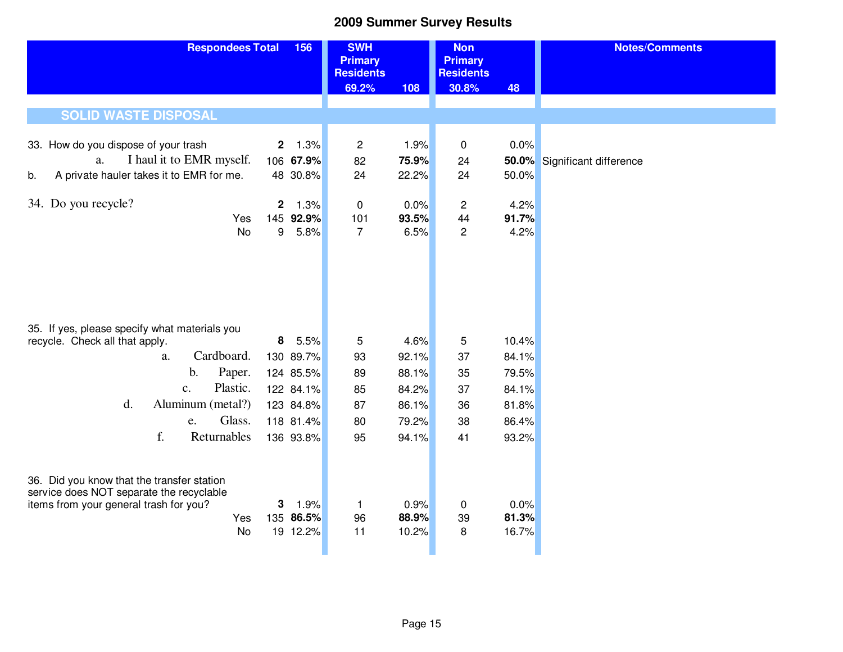| <b>Respondees Total</b><br>156                                                                                                                       |              |                               | <b>SWH</b><br><b>Primary</b><br><b>Residents</b> |                        | <b>Non</b><br><b>Primary</b><br><b>Residents</b> |                        | <b>Notes/Comments</b>        |  |  |  |
|------------------------------------------------------------------------------------------------------------------------------------------------------|--------------|-------------------------------|--------------------------------------------------|------------------------|--------------------------------------------------|------------------------|------------------------------|--|--|--|
|                                                                                                                                                      |              |                               | 69.2%                                            | 108                    | 30.8%                                            | 48                     |                              |  |  |  |
| <b>SOLID WASTE DISPOSAL</b>                                                                                                                          |              |                               |                                                  |                        |                                                  |                        |                              |  |  |  |
| 33. How do you dispose of your trash                                                                                                                 | $\mathbf{2}$ | 1.3%                          | $\overline{c}$                                   | 1.9%                   | 0                                                | 0.0%                   |                              |  |  |  |
| I haul it to EMR myself.<br>a.                                                                                                                       |              | 106 67.9%                     | 82                                               | 75.9%                  | 24                                               |                        | 50.0% Significant difference |  |  |  |
| A private hauler takes it to EMR for me.<br>b.                                                                                                       |              | 48 30.8%                      | 24                                               | 22.2%                  | 24                                               | 50.0%                  |                              |  |  |  |
| 34. Do you recycle?                                                                                                                                  | $\mathbf{2}$ | 1.3%                          | $\pmb{0}$                                        | 0.0%                   | $\overline{\mathbf{c}}$                          | 4.2%                   |                              |  |  |  |
| Yes                                                                                                                                                  | 145          | 92.9%                         | 101                                              | 93.5%                  | 44                                               | 91.7%                  |                              |  |  |  |
| <b>No</b>                                                                                                                                            | 9            | 5.8%                          | $\overline{7}$                                   | 6.5%                   | $\overline{c}$                                   | 4.2%                   |                              |  |  |  |
| 35. If yes, please specify what materials you<br>recycle. Check all that apply.                                                                      |              | 8 5.5%                        | 5                                                | 4.6%                   | 5                                                | 10.4%                  |                              |  |  |  |
| Cardboard.<br>a.                                                                                                                                     |              | 130 89.7%                     | 93                                               | 92.1%                  | 37                                               | 84.1%                  |                              |  |  |  |
| b.<br>Paper.                                                                                                                                         |              | 124 85.5%                     | 89                                               | 88.1%                  | 35                                               | 79.5%                  |                              |  |  |  |
| Plastic.<br>$\mathbf{c}$ .                                                                                                                           |              | 122 84.1%                     | 85                                               | 84.2%                  | 37                                               | 84.1%                  |                              |  |  |  |
| Aluminum (metal?)<br>d.                                                                                                                              |              | 123 84.8%                     | 87                                               | 86.1%                  | 36                                               | 81.8%                  |                              |  |  |  |
| Glass.<br>e.                                                                                                                                         |              | 118 81.4%                     | 80                                               | 79.2%                  | 38                                               | 86.4%                  |                              |  |  |  |
| f.<br>Returnables                                                                                                                                    |              | 136 93.8%                     | 95                                               | 94.1%                  | 41                                               | 93.2%                  |                              |  |  |  |
| 36. Did you know that the transfer station<br>service does NOT separate the recyclable<br>items from your general trash for you?<br>Yes<br><b>No</b> | 3            | 1.9%<br>135 86.5%<br>19 12.2% | $\mathbf{1}$<br>96<br>11                         | 0.9%<br>88.9%<br>10.2% | 0<br>39<br>8                                     | 0.0%<br>81.3%<br>16.7% |                              |  |  |  |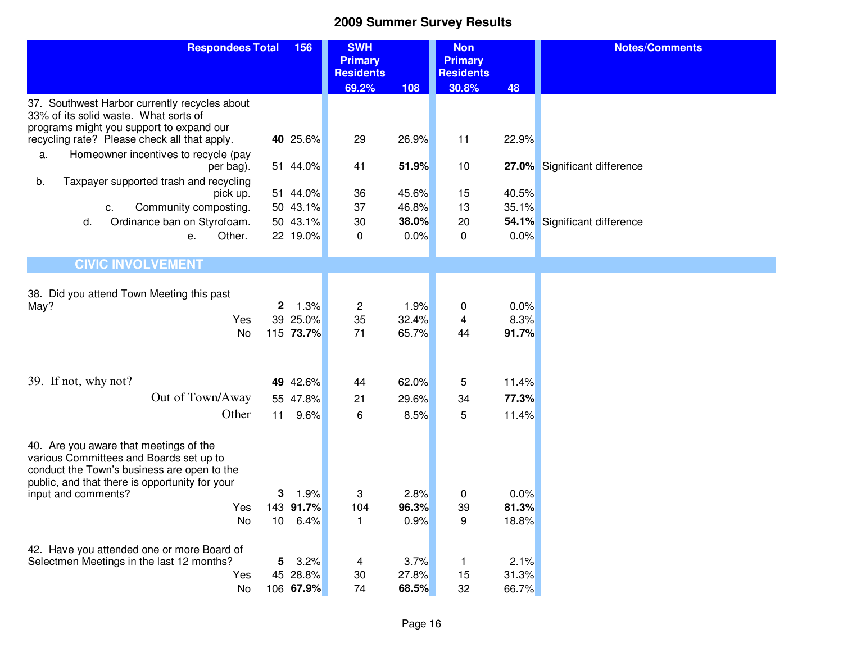| <b>Respondees Total</b><br>156                                                         |              | <b>SWH</b>           |                                    | <b>Non</b>     |                                    | <b>Notes/Comments</b> |                              |
|----------------------------------------------------------------------------------------|--------------|----------------------|------------------------------------|----------------|------------------------------------|-----------------------|------------------------------|
|                                                                                        |              |                      | <b>Primary</b><br><b>Residents</b> |                | <b>Primary</b><br><b>Residents</b> |                       |                              |
|                                                                                        |              |                      | 69.2%                              | 108            | 30.8%                              | 48                    |                              |
| 37. Southwest Harbor currently recycles about                                          |              |                      |                                    |                |                                    |                       |                              |
| 33% of its solid waste. What sorts of<br>programs might you support to expand our      |              |                      |                                    |                |                                    |                       |                              |
| recycling rate? Please check all that apply.                                           |              | 40 25.6%             | 29                                 | 26.9%          | 11                                 | 22.9%                 |                              |
| Homeowner incentives to recycle (pay<br>a.                                             |              |                      |                                    |                |                                    |                       |                              |
| per bag).                                                                              |              | 51 44.0%             | 41                                 | 51.9%          | 10                                 |                       | 27.0% Significant difference |
| b.<br>Taxpayer supported trash and recycling                                           |              |                      |                                    |                |                                    |                       |                              |
| pick up.<br>Community composting.<br>С.                                                |              | 51 44.0%<br>50 43.1% | 36<br>37                           | 45.6%<br>46.8% | 15<br>13                           | 40.5%<br>35.1%        |                              |
| Ordinance ban on Styrofoam.<br>d.                                                      |              | 50 43.1%             | 30                                 | 38.0%          | 20                                 | 54.1%                 | Significant difference       |
| Other.<br>е.                                                                           |              | 22 19.0%             | $\mathbf 0$                        | 0.0%           | 0                                  | 0.0%                  |                              |
|                                                                                        |              |                      |                                    |                |                                    |                       |                              |
| <b>CIVIC INVOLVEMENT</b>                                                               |              |                      |                                    |                |                                    |                       |                              |
|                                                                                        |              |                      |                                    |                |                                    |                       |                              |
| 38. Did you attend Town Meeting this past<br>May?                                      | $\mathbf{2}$ | 1.3%                 | $\overline{\mathbf{c}}$            | 1.9%           | 0                                  | 0.0%                  |                              |
| Yes                                                                                    |              | 39 25.0%             | 35                                 | 32.4%          | 4                                  | 8.3%                  |                              |
| No                                                                                     |              | 115 73.7%            | 71                                 | 65.7%          | 44                                 | 91.7%                 |                              |
|                                                                                        |              |                      |                                    |                |                                    |                       |                              |
|                                                                                        |              |                      |                                    |                |                                    |                       |                              |
| 39. If not, why not?                                                                   |              | 49 42.6%             | 44                                 | 62.0%          | 5                                  | 11.4%                 |                              |
| Out of Town/Away                                                                       |              | 55 47.8%             | 21                                 | 29.6%          | 34                                 | 77.3%                 |                              |
| Other                                                                                  | 11           | 9.6%                 | 6                                  | 8.5%           | 5                                  | 11.4%                 |                              |
|                                                                                        |              |                      |                                    |                |                                    |                       |                              |
| 40. Are you aware that meetings of the                                                 |              |                      |                                    |                |                                    |                       |                              |
| various Committees and Boards set up to<br>conduct the Town's business are open to the |              |                      |                                    |                |                                    |                       |                              |
| public, and that there is opportunity for your                                         |              |                      |                                    |                |                                    |                       |                              |
| input and comments?                                                                    | 3            | 1.9%                 | 3                                  | 2.8%           | 0                                  | 0.0%                  |                              |
| Yes                                                                                    |              | 143 91.7%            | 104                                | 96.3%          | 39                                 | 81.3%                 |                              |
| No                                                                                     | 10           | 6.4%                 | 1                                  | 0.9%           | 9                                  | 18.8%                 |                              |
| 42. Have you attended one or more Board of                                             |              |                      |                                    |                |                                    |                       |                              |
| Selectmen Meetings in the last 12 months?                                              | 5            | 3.2%                 | 4                                  | 3.7%           | 1                                  | 2.1%                  |                              |
| Yes                                                                                    |              | 45 28.8%             | 30                                 | 27.8%          | 15                                 | 31.3%                 |                              |
| No                                                                                     |              | 106 67.9%            | 74                                 | 68.5%          | 32                                 | 66.7%                 |                              |